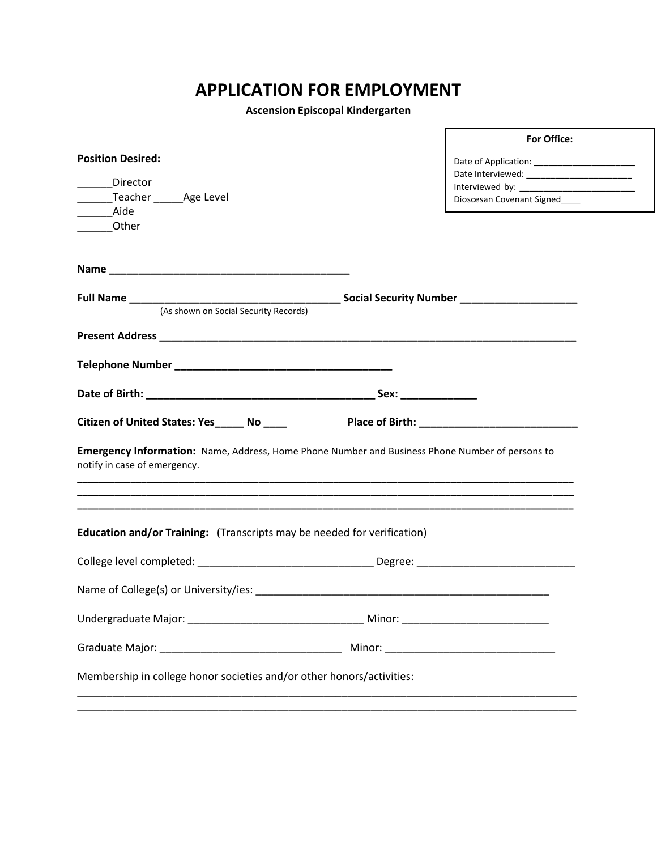## **APPLICATION FOR EMPLOYMENT**

**Ascension Episcopal Kindergarten**

|                                                                                                                                 | For Office:                   |  |
|---------------------------------------------------------------------------------------------------------------------------------|-------------------------------|--|
| <b>Position Desired:</b>                                                                                                        |                               |  |
|                                                                                                                                 |                               |  |
| Director                                                                                                                        |                               |  |
| Teacher _______ Age Level<br><b>Aide</b>                                                                                        | Dioscesan Covenant Signed____ |  |
| Other                                                                                                                           |                               |  |
|                                                                                                                                 |                               |  |
|                                                                                                                                 |                               |  |
|                                                                                                                                 |                               |  |
|                                                                                                                                 |                               |  |
| (As shown on Social Security Records)                                                                                           |                               |  |
|                                                                                                                                 |                               |  |
|                                                                                                                                 |                               |  |
|                                                                                                                                 |                               |  |
|                                                                                                                                 |                               |  |
|                                                                                                                                 |                               |  |
|                                                                                                                                 |                               |  |
| Emergency Information: Name, Address, Home Phone Number and Business Phone Number of persons to<br>notify in case of emergency. |                               |  |
|                                                                                                                                 |                               |  |
| Education and/or Training: (Transcripts may be needed for verification)                                                         |                               |  |
|                                                                                                                                 |                               |  |
|                                                                                                                                 |                               |  |
|                                                                                                                                 |                               |  |
|                                                                                                                                 |                               |  |
| Membership in college honor societies and/or other honors/activities:                                                           |                               |  |
|                                                                                                                                 |                               |  |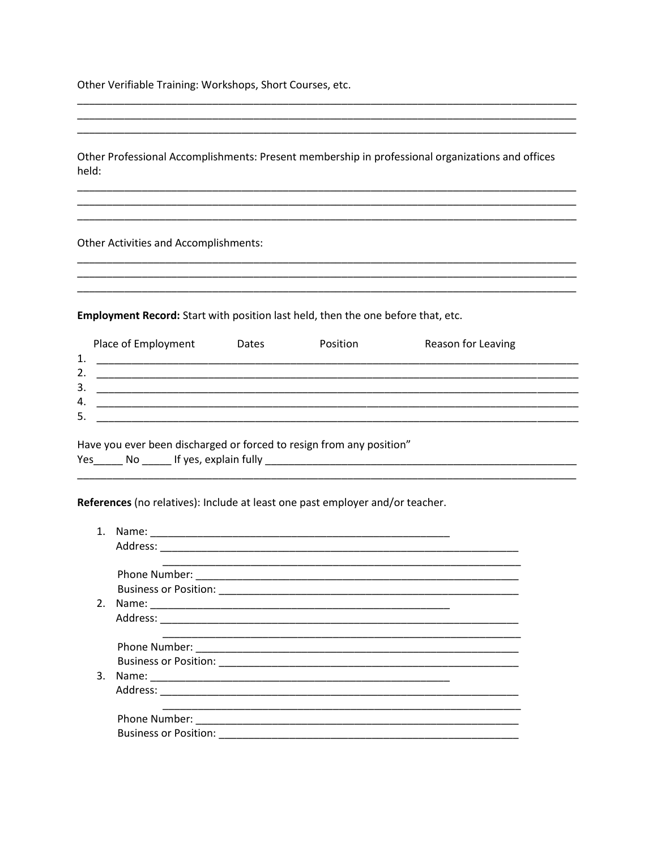Other Verifiable Training: Workshops, Short Courses, etc.

Other Professional Accomplishments: Present membership in professional organizations and offices held:

**Other Activities and Accomplishments:** 

Employment Record: Start with position last held, then the one before that, etc.

| 1.       | Place of Employment | <b>Dates</b> | <b>Position</b> | Reason for Leaving |
|----------|---------------------|--------------|-----------------|--------------------|
| 2.       |                     |              |                 |                    |
| 3.<br>4. |                     |              |                 |                    |
| 5.       |                     |              |                 |                    |

Have you ever been discharged or forced to resign from any position" 

References (no relatives): Include at least one past employer and/or teacher.

|    | Name:                        |
|----|------------------------------|
|    |                              |
|    |                              |
|    |                              |
|    |                              |
| 2. |                              |
|    |                              |
|    |                              |
|    |                              |
|    |                              |
| 3. |                              |
|    |                              |
|    |                              |
|    |                              |
|    | <b>Business or Position:</b> |